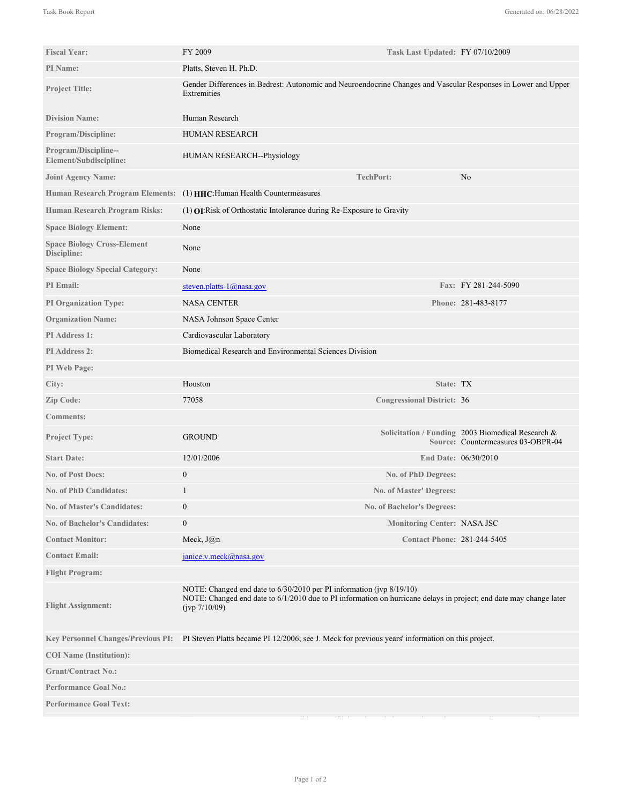| <b>Fiscal Year:</b>                               | FY 2009                                                                                                                                                                                                     | Task Last Updated: FY 07/10/2009   |                                                                                         |
|---------------------------------------------------|-------------------------------------------------------------------------------------------------------------------------------------------------------------------------------------------------------------|------------------------------------|-----------------------------------------------------------------------------------------|
| <b>PI</b> Name:                                   | Platts, Steven H. Ph.D.                                                                                                                                                                                     |                                    |                                                                                         |
| <b>Project Title:</b>                             | Gender Differences in Bedrest: Autonomic and Neuroendocrine Changes and Vascular Responses in Lower and Upper<br>Extremities                                                                                |                                    |                                                                                         |
| <b>Division Name:</b>                             | Human Research                                                                                                                                                                                              |                                    |                                                                                         |
| <b>Program/Discipline:</b>                        | HUMAN RESEARCH                                                                                                                                                                                              |                                    |                                                                                         |
| Program/Discipline--<br>Element/Subdiscipline:    | HUMAN RESEARCH--Physiology                                                                                                                                                                                  |                                    |                                                                                         |
| <b>Joint Agency Name:</b>                         |                                                                                                                                                                                                             | <b>TechPort:</b>                   | No                                                                                      |
| <b>Human Research Program Elements:</b>           | (1) HHC: Human Health Countermeasures                                                                                                                                                                       |                                    |                                                                                         |
| Human Research Program Risks:                     | $(1)$ <b>OI</b> : Risk of Orthostatic Intolerance during Re-Exposure to Gravity                                                                                                                             |                                    |                                                                                         |
| <b>Space Biology Element:</b>                     | None                                                                                                                                                                                                        |                                    |                                                                                         |
| <b>Space Biology Cross-Element</b><br>Discipline: | None                                                                                                                                                                                                        |                                    |                                                                                         |
| <b>Space Biology Special Category:</b>            | None                                                                                                                                                                                                        |                                    |                                                                                         |
| PI Email:                                         | steven.platts- $1$ @nasa.gov                                                                                                                                                                                |                                    | Fax: FY 281-244-5090                                                                    |
| <b>PI Organization Type:</b>                      | <b>NASA CENTER</b>                                                                                                                                                                                          |                                    | Phone: 281-483-8177                                                                     |
| <b>Organization Name:</b>                         | NASA Johnson Space Center                                                                                                                                                                                   |                                    |                                                                                         |
| PI Address 1:                                     | Cardiovascular Laboratory                                                                                                                                                                                   |                                    |                                                                                         |
| PI Address 2:                                     | Biomedical Research and Environmental Sciences Division                                                                                                                                                     |                                    |                                                                                         |
| PI Web Page:                                      |                                                                                                                                                                                                             |                                    |                                                                                         |
| City:                                             | Houston                                                                                                                                                                                                     | State: TX                          |                                                                                         |
| Zip Code:                                         | 77058                                                                                                                                                                                                       | <b>Congressional District: 36</b>  |                                                                                         |
| <b>Comments:</b>                                  |                                                                                                                                                                                                             |                                    |                                                                                         |
| <b>Project Type:</b>                              | <b>GROUND</b>                                                                                                                                                                                               |                                    | Solicitation / Funding 2003 Biomedical Research &<br>Source: Countermeasures 03-OBPR-04 |
| <b>Start Date:</b>                                | 12/01/2006                                                                                                                                                                                                  |                                    | End Date: 06/30/2010                                                                    |
| <b>No. of Post Docs:</b>                          | $\boldsymbol{0}$                                                                                                                                                                                            | No. of PhD Degrees:                |                                                                                         |
| <b>No. of PhD Candidates:</b>                     | 1                                                                                                                                                                                                           | <b>No. of Master' Degrees:</b>     |                                                                                         |
| <b>No. of Master's Candidates:</b>                | $\mathbf{0}$                                                                                                                                                                                                | No. of Bachelor's Degrees:         |                                                                                         |
| <b>No. of Bachelor's Candidates:</b>              | $\boldsymbol{0}$                                                                                                                                                                                            | Monitoring Center: NASA JSC        |                                                                                         |
| <b>Contact Monitor:</b>                           | Meck, $J(\hat{\omega})n$                                                                                                                                                                                    | <b>Contact Phone: 281-244-5405</b> |                                                                                         |
| <b>Contact Email:</b>                             | janice.v.meck@nasa.gov                                                                                                                                                                                      |                                    |                                                                                         |
| <b>Flight Program:</b>                            |                                                                                                                                                                                                             |                                    |                                                                                         |
| <b>Flight Assignment:</b>                         | NOTE: Changed end date to 6/30/2010 per PI information (jvp 8/19/10)<br>NOTE: Changed end date to 6/1/2010 due to PI information on hurricane delays in project; end date may change later<br>(jvp 7/10/09) |                                    |                                                                                         |
| <b>Key Personnel Changes/Previous PI:</b>         | PI Steven Platts became PI 12/2006; see J. Meck for previous years' information on this project.                                                                                                            |                                    |                                                                                         |
| <b>COI</b> Name (Institution):                    |                                                                                                                                                                                                             |                                    |                                                                                         |
| <b>Grant/Contract No.:</b>                        |                                                                                                                                                                                                             |                                    |                                                                                         |
| <b>Performance Goal No.:</b>                      |                                                                                                                                                                                                             |                                    |                                                                                         |
| <b>Performance Goal Text:</b>                     |                                                                                                                                                                                                             |                                    |                                                                                         |
|                                                   |                                                                                                                                                                                                             |                                    |                                                                                         |